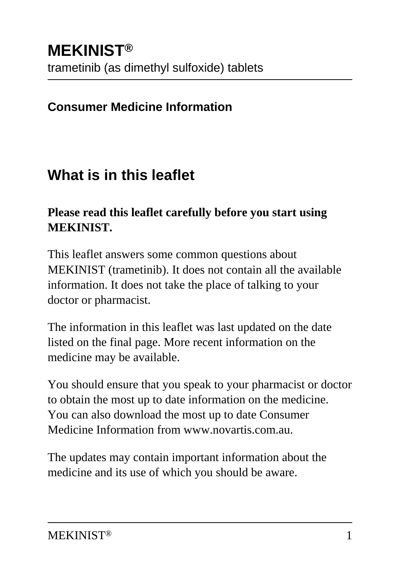#### **Consumer Medicine Information**

## **What is in this leaflet**

#### **Please read this leaflet carefully before you start using MEKINIST.**

This leaflet answers some common questions about MEKINIST (trametinib). It does not contain all the available information. It does not take the place of talking to your doctor or pharmacist.

The information in this leaflet was last updated on the date listed on the final page. More recent information on the medicine may be available.

You should ensure that you speak to your pharmacist or doctor to obtain the most up to date information on the medicine. You can also download the most up to date Consumer Medicine Information from www.novartis.com.au.

The updates may contain important information about the medicine and its use of which you should be aware.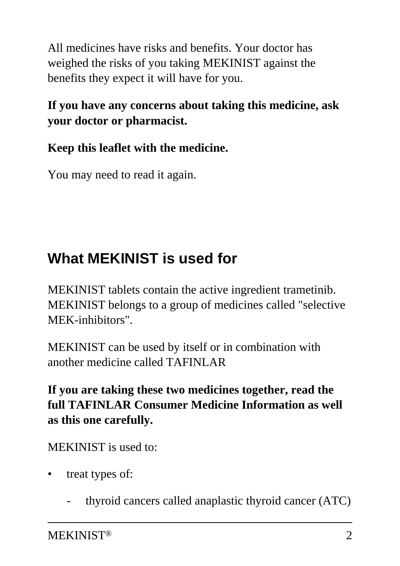All medicines have risks and benefits. Your doctor has weighed the risks of you taking MEKINIST against the benefits they expect it will have for you.

#### **If you have any concerns about taking this medicine, ask your doctor or pharmacist.**

### **Keep this leaflet with the medicine.**

You may need to read it again.

# **What MEKINIST is used for**

MEKINIST tablets contain the active ingredient trametinib. MEKINIST belongs to a group of medicines called "selective MEK-inhibitors".

MEKINIST can be used by itself or in combination with another medicine called TAFINLAR

**If you are taking these two medicines together, read the full TAFINLAR Consumer Medicine Information as well as this one carefully.**

MEKINIST is used to:

- treat types of:
	- thyroid cancers called anaplastic thyroid cancer (ATC)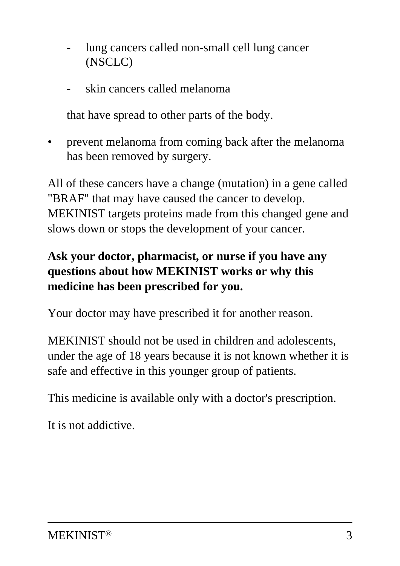- lung cancers called non-small cell lung cancer (NSCLC)
- skin cancers called melanoma

that have spread to other parts of the body.

• prevent melanoma from coming back after the melanoma has been removed by surgery.

All of these cancers have a change (mutation) in a gene called "BRAF" that may have caused the cancer to develop. MEKINIST targets proteins made from this changed gene and slows down or stops the development of your cancer.

#### **Ask your doctor, pharmacist, or nurse if you have any questions about how MEKINIST works or why this medicine has been prescribed for you.**

Your doctor may have prescribed it for another reason.

MEKINIST should not be used in children and adolescents, under the age of 18 years because it is not known whether it is safe and effective in this younger group of patients.

This medicine is available only with a doctor's prescription.

It is not addictive.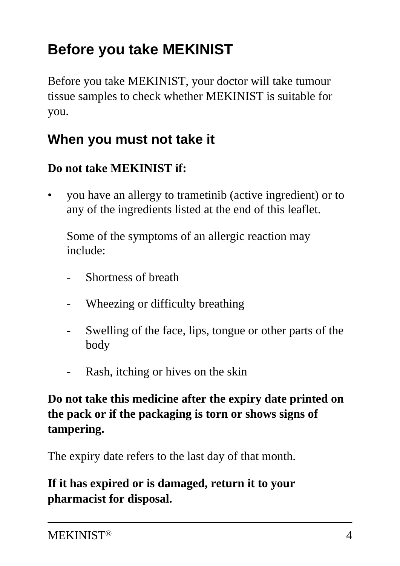# **Before you take MEKINIST**

Before you take MEKINIST, your doctor will take tumour tissue samples to check whether MEKINIST is suitable for you.

### **When you must not take it**

#### **Do not take MEKINIST if:**

• you have an allergy to trametinib (active ingredient) or to any of the ingredients listed at the end of this leaflet.

 Some of the symptoms of an allergic reaction may include:

- Shortness of breath
- Wheezing or difficulty breathing
- Swelling of the face, lips, tongue or other parts of the body
- Rash, itching or hives on the skin

#### **Do not take this medicine after the expiry date printed on the pack or if the packaging is torn or shows signs of tampering.**

The expiry date refers to the last day of that month.

#### **If it has expired or is damaged, return it to your pharmacist for disposal.**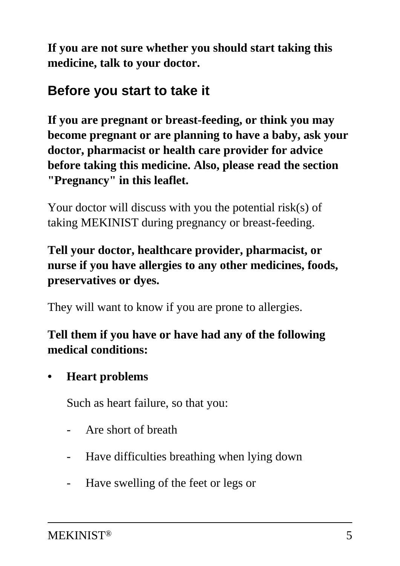**If you are not sure whether you should start taking this medicine, talk to your doctor.**

### **Before you start to take it**

**If you are pregnant or breast-feeding, or think you may become pregnant or are planning to have a baby, ask your doctor, pharmacist or health care provider for advice before taking this medicine. Also, please read the section "Pregnancy" in this leaflet.**

Your doctor will discuss with you the potential risk(s) of taking MEKINIST during pregnancy or breast-feeding.

#### **Tell your doctor, healthcare provider, pharmacist, or nurse if you have allergies to any other medicines, foods, preservatives or dyes.**

They will want to know if you are prone to allergies.

#### **Tell them if you have or have had any of the following medical conditions:**

**• Heart problems**

Such as heart failure, so that you:

- Are short of breath
- Have difficulties breathing when lying down
- Have swelling of the feet or legs or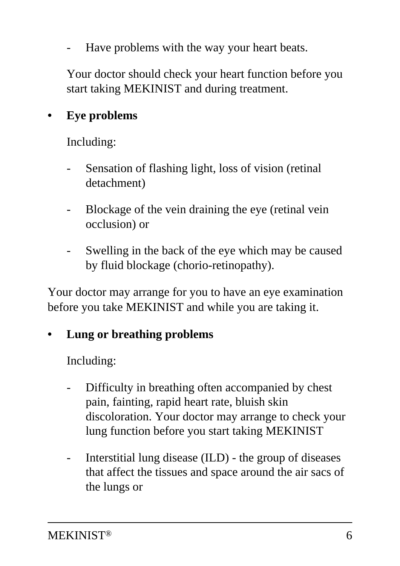Have problems with the way your heart beats.

 Your doctor should check your heart function before you start taking MEKINIST and during treatment.

#### **• Eye problems**

Including:

- Sensation of flashing light, loss of vision (retinal detachment)
- Blockage of the vein draining the eye (retinal vein occlusion) or
- Swelling in the back of the eye which may be caused by fluid blockage (chorio-retinopathy).

Your doctor may arrange for you to have an eye examination before you take MEKINIST and while you are taking it.

#### **• Lung or breathing problems**

Including:

- Difficulty in breathing often accompanied by chest pain, fainting, rapid heart rate, bluish skin discoloration. Your doctor may arrange to check your lung function before you start taking MEKINIST
- Interstitial lung disease (ILD) the group of diseases that affect the tissues and space around the air sacs of the lungs or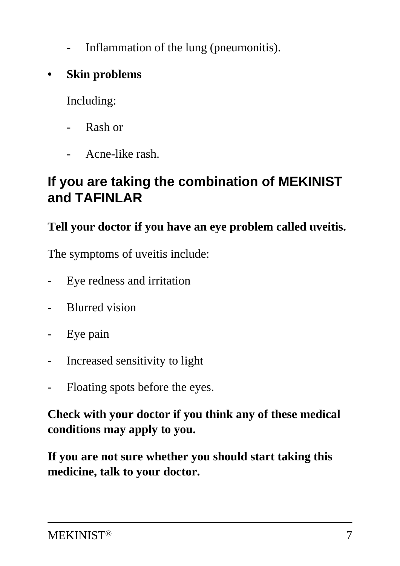- Inflammation of the lung (pneumonitis).
- **Skin problems**

Including:

- Rash or
- Acne-like rash.

### **If you are taking the combination of MEKINIST and TAFINLAR**

#### **Tell your doctor if you have an eye problem called uveitis.**

The symptoms of uveitis include:

- Eye redness and irritation
- Blurred vision
- Eye pain
- Increased sensitivity to light
- Floating spots before the eyes.

**Check with your doctor if you think any of these medical conditions may apply to you.**

**If you are not sure whether you should start taking this medicine, talk to your doctor.**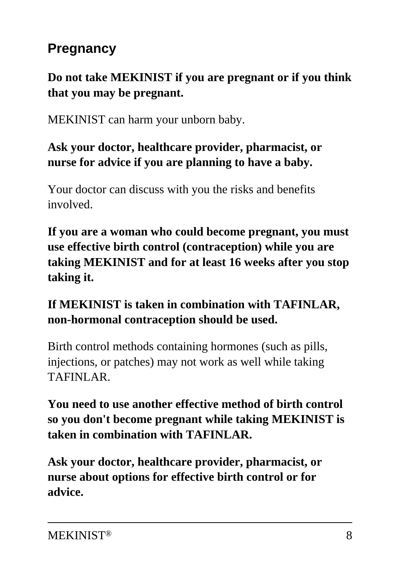# **Pregnancy**

#### **Do not take MEKINIST if you are pregnant or if you think that you may be pregnant.**

MEKINIST can harm your unborn baby.

#### **Ask your doctor, healthcare provider, pharmacist, or nurse for advice if you are planning to have a baby.**

Your doctor can discuss with you the risks and benefits involved.

**If you are a woman who could become pregnant, you must use effective birth control (contraception) while you are taking MEKINIST and for at least 16 weeks after you stop taking it.**

#### **If MEKINIST is taken in combination with TAFINLAR, non-hormonal contraception should be used.**

Birth control methods containing hormones (such as pills, injections, or patches) may not work as well while taking TAFINLAR.

#### **You need to use another effective method of birth control so you don't become pregnant while taking MEKINIST is taken in combination with TAFINLAR.**

**Ask your doctor, healthcare provider, pharmacist, or nurse about options for effective birth control or for advice.**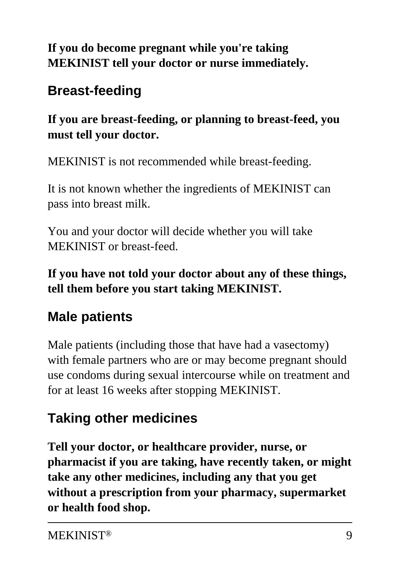#### **If you do become pregnant while you're taking MEKINIST tell your doctor or nurse immediately.**

# **Breast-feeding**

**If you are breast-feeding, or planning to breast-feed, you must tell your doctor.**

MEKINIST is not recommended while breast-feeding.

It is not known whether the ingredients of MEKINIST can pass into breast milk.

You and your doctor will decide whether you will take MEKINIST or breast-feed.

**If you have not told your doctor about any of these things, tell them before you start taking MEKINIST.**

# **Male patients**

Male patients (including those that have had a vasectomy) with female partners who are or may become pregnant should use condoms during sexual intercourse while on treatment and for at least 16 weeks after stopping MEKINIST.

# **Taking other medicines**

**Tell your doctor, or healthcare provider, nurse, or pharmacist if you are taking, have recently taken, or might take any other medicines, including any that you get without a prescription from your pharmacy, supermarket or health food shop.**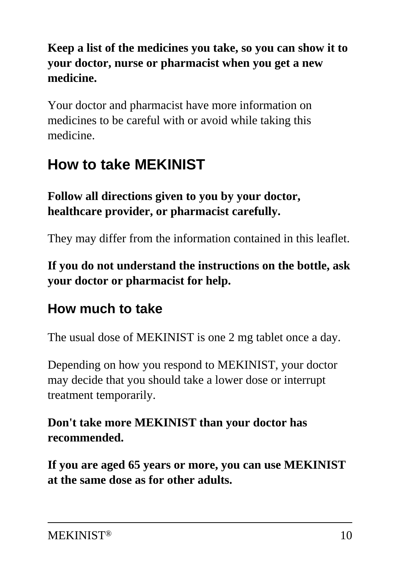#### **Keep a list of the medicines you take, so you can show it to your doctor, nurse or pharmacist when you get a new medicine.**

Your doctor and pharmacist have more information on medicines to be careful with or avoid while taking this medicine.

# **How to take MEKINIST**

**Follow all directions given to you by your doctor, healthcare provider, or pharmacist carefully.**

They may differ from the information contained in this leaflet.

#### **If you do not understand the instructions on the bottle, ask your doctor or pharmacist for help.**

### **How much to take**

The usual dose of MEKINIST is one 2 mg tablet once a day.

Depending on how you respond to MEKINIST, your doctor may decide that you should take a lower dose or interrupt treatment temporarily.

#### **Don't take more MEKINIST than your doctor has recommended.**

**If you are aged 65 years or more, you can use MEKINIST at the same dose as for other adults.**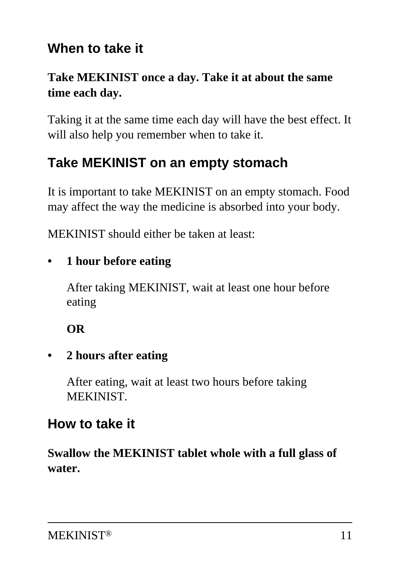### **When to take it**

#### **Take MEKINIST once a day. Take it at about the same time each day.**

Taking it at the same time each day will have the best effect. It will also help you remember when to take it.

## **Take MEKINIST on an empty stomach**

It is important to take MEKINIST on an empty stomach. Food may affect the way the medicine is absorbed into your body.

MEKINIST should either be taken at least:

#### **• 1 hour before eating**

 After taking MEKINIST, wait at least one hour before eating

 **OR**

#### **• 2 hours after eating**

 After eating, wait at least two hours before taking **MEKINIST** 

### **How to take it**

**Swallow the MEKINIST tablet whole with a full glass of water.**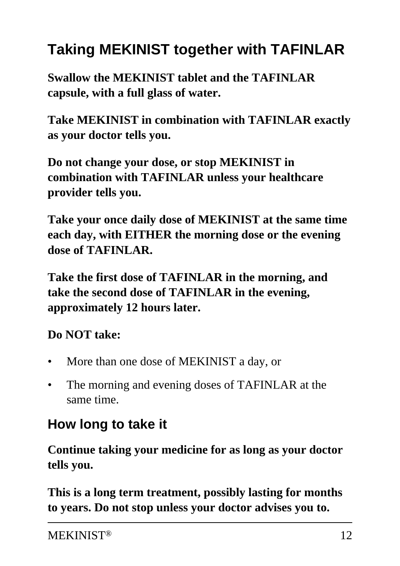# **Taking MEKINIST together with TAFINLAR**

**Swallow the MEKINIST tablet and the TAFINLAR capsule, with a full glass of water.**

**Take MEKINIST in combination with TAFINLAR exactly as your doctor tells you.**

**Do not change your dose, or stop MEKINIST in combination with TAFINLAR unless your healthcare provider tells you.**

**Take your once daily dose of MEKINIST at the same time each day, with EITHER the morning dose or the evening dose of TAFINLAR.**

**Take the first dose of TAFINLAR in the morning, and take the second dose of TAFINLAR in the evening, approximately 12 hours later.**

### **Do NOT take:**

- More than one dose of MEKINIST a day, or
- The morning and evening doses of TAFINLAR at the same time.

# **How long to take it**

**Continue taking your medicine for as long as your doctor tells you.**

**This is a long term treatment, possibly lasting for months to years. Do not stop unless your doctor advises you to.**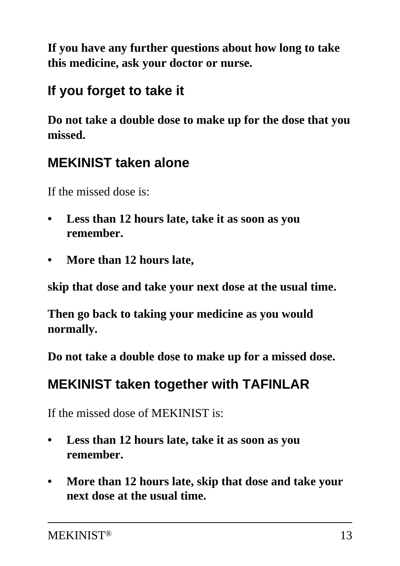**If you have any further questions about how long to take this medicine, ask your doctor or nurse.**

## **If you forget to take it**

**Do not take a double dose to make up for the dose that you missed.**

## **MEKINIST taken alone**

If the missed dose is:

- **Less than 12 hours late, take it as soon as you remember.**
- **More than 12 hours late,**

**skip that dose and take your next dose at the usual time.**

**Then go back to taking your medicine as you would normally.**

**Do not take a double dose to make up for a missed dose.**

## **MEKINIST taken together with TAFINLAR**

If the missed dose of MEKINIST is:

- **Less than 12 hours late, take it as soon as you remember.**
- **More than 12 hours late, skip that dose and take your next dose at the usual time.**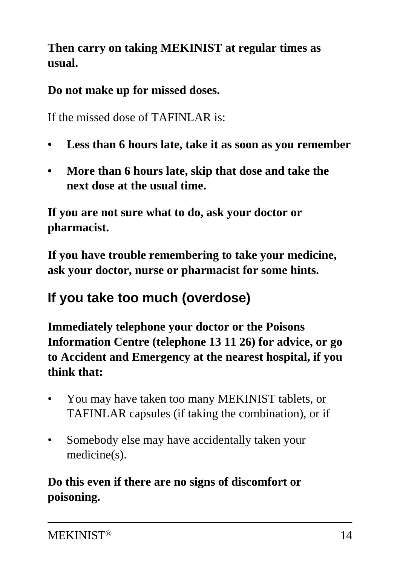**Then carry on taking MEKINIST at regular times as usual.**

**Do not make up for missed doses.**

If the missed dose of TAFINLAR is:

- **Less than 6 hours late, take it as soon as you remember**
- **More than 6 hours late, skip that dose and take the next dose at the usual time.**

**If you are not sure what to do, ask your doctor or pharmacist.**

**If you have trouble remembering to take your medicine, ask your doctor, nurse or pharmacist for some hints.**

# **If you take too much (overdose)**

**Immediately telephone your doctor or the Poisons Information Centre (telephone 13 11 26) for advice, or go to Accident and Emergency at the nearest hospital, if you think that:**

- You may have taken too many MEKINIST tablets, or TAFINLAR capsules (if taking the combination), or if
- Somebody else may have accidentally taken your medicine(s).

### **Do this even if there are no signs of discomfort or poisoning.**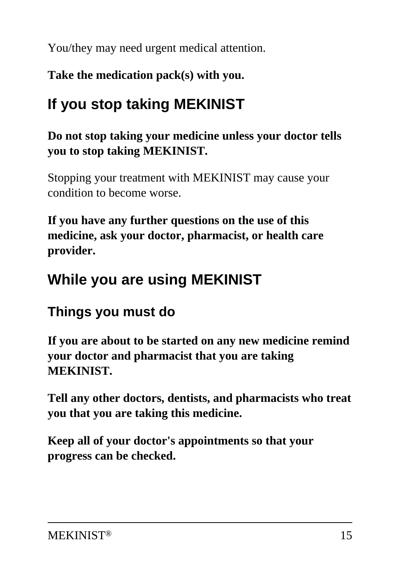You/they may need urgent medical attention.

**Take the medication pack(s) with you.**

# **If you stop taking MEKINIST**

#### **Do not stop taking your medicine unless your doctor tells you to stop taking MEKINIST.**

Stopping your treatment with MEKINIST may cause your condition to become worse.

**If you have any further questions on the use of this medicine, ask your doctor, pharmacist, or health care provider.**

# **While you are using MEKINIST**

# **Things you must do**

**If you are about to be started on any new medicine remind your doctor and pharmacist that you are taking MEKINIST.**

**Tell any other doctors, dentists, and pharmacists who treat you that you are taking this medicine.**

**Keep all of your doctor's appointments so that your progress can be checked.**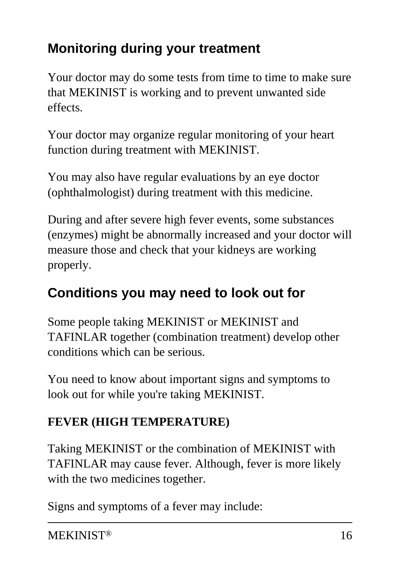# **Monitoring during your treatment**

Your doctor may do some tests from time to time to make sure that MEKINIST is working and to prevent unwanted side effects.

Your doctor may organize regular monitoring of your heart function during treatment with MEKINIST.

You may also have regular evaluations by an eye doctor (ophthalmologist) during treatment with this medicine.

During and after severe high fever events, some substances (enzymes) might be abnormally increased and your doctor will measure those and check that your kidneys are working properly.

# **Conditions you may need to look out for**

Some people taking MEKINIST or MEKINIST and TAFINLAR together (combination treatment) develop other conditions which can be serious.

You need to know about important signs and symptoms to look out for while you're taking MEKINIST.

### **FEVER (HIGH TEMPERATURE)**

Taking MEKINIST or the combination of MEKINIST with TAFINLAR may cause fever. Although, fever is more likely with the two medicines together.

Signs and symptoms of a fever may include: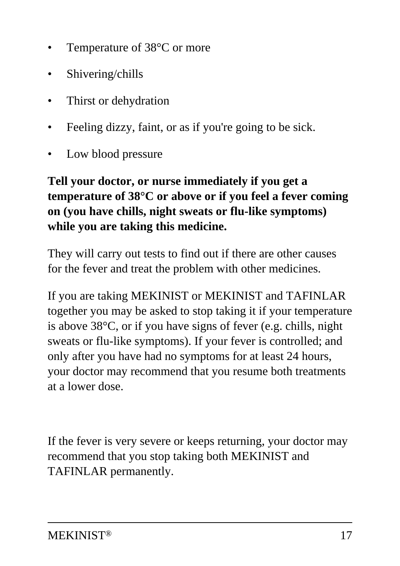- Temperature of 38<sup>o</sup>C or more
- Shivering/chills
- Thirst or dehydration
- Feeling dizzy, faint, or as if you're going to be sick.
- Low blood pressure

#### **Tell your doctor, or nurse immediately if you get a temperature of 38°C or above or if you feel a fever coming on (you have chills, night sweats or flu-like symptoms) while you are taking this medicine.**

They will carry out tests to find out if there are other causes for the fever and treat the problem with other medicines.

If you are taking MEKINIST or MEKINIST and TAFINLAR together you may be asked to stop taking it if your temperature is above 38°C, or if you have signs of fever (e.g. chills, night sweats or flu-like symptoms). If your fever is controlled; and only after you have had no symptoms for at least 24 hours, your doctor may recommend that you resume both treatments at a lower dose.

If the fever is very severe or keeps returning, your doctor may recommend that you stop taking both MEKINIST and TAFINLAR permanently.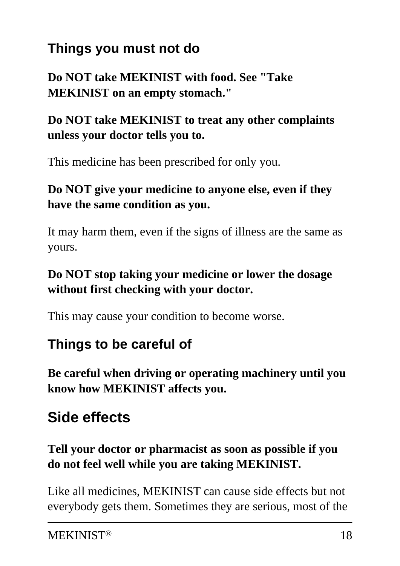# **Things you must not do**

**Do NOT take MEKINIST with food. See "Take MEKINIST on an empty stomach."**

#### **Do NOT take MEKINIST to treat any other complaints unless your doctor tells you to.**

This medicine has been prescribed for only you.

#### **Do NOT give your medicine to anyone else, even if they have the same condition as you.**

It may harm them, even if the signs of illness are the same as yours.

#### **Do NOT stop taking your medicine or lower the dosage without first checking with your doctor.**

This may cause your condition to become worse.

# **Things to be careful of**

**Be careful when driving or operating machinery until you know how MEKINIST affects you.**

# **Side effects**

#### **Tell your doctor or pharmacist as soon as possible if you do not feel well while you are taking MEKINIST.**

Like all medicines, MEKINIST can cause side effects but not everybody gets them. Sometimes they are serious, most of the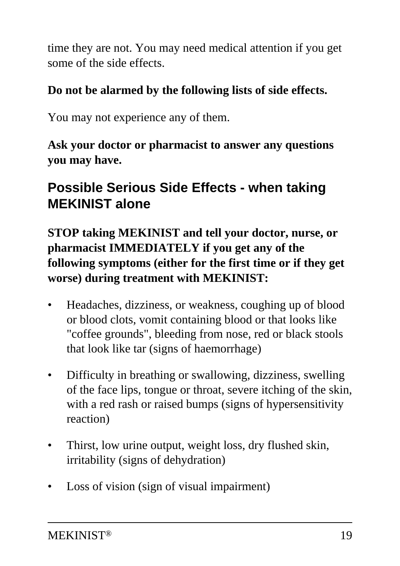time they are not. You may need medical attention if you get some of the side effects.

#### **Do not be alarmed by the following lists of side effects.**

You may not experience any of them.

**Ask your doctor or pharmacist to answer any questions you may have.**

## **Possible Serious Side Effects - when taking MEKINIST alone**

**STOP taking MEKINIST and tell your doctor, nurse, or pharmacist IMMEDIATELY if you get any of the following symptoms (either for the first time or if they get worse) during treatment with MEKINIST:**

- Headaches, dizziness, or weakness, coughing up of blood or blood clots, vomit containing blood or that looks like "coffee grounds", bleeding from nose, red or black stools that look like tar (signs of haemorrhage)
- Difficulty in breathing or swallowing, dizziness, swelling of the face lips, tongue or throat, severe itching of the skin, with a red rash or raised bumps (signs of hypersensitivity reaction)
- Thirst, low urine output, weight loss, dry flushed skin, irritability (signs of dehydration)
- Loss of vision (sign of visual impairment)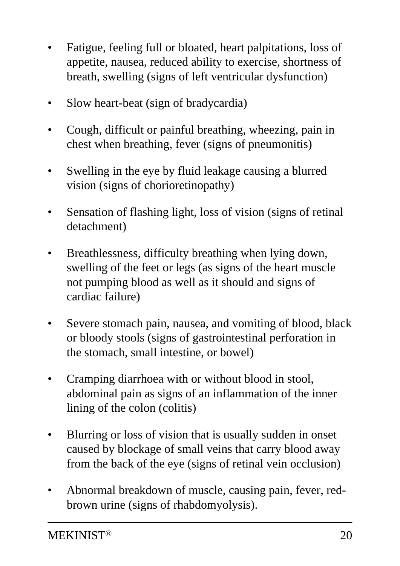- Fatigue, feeling full or bloated, heart palpitations, loss of appetite, nausea, reduced ability to exercise, shortness of breath, swelling (signs of left ventricular dysfunction)
- Slow heart-beat (sign of bradycardia)
- Cough, difficult or painful breathing, wheezing, pain in chest when breathing, fever (signs of pneumonitis)
- Swelling in the eye by fluid leakage causing a blurred vision (signs of chorioretinopathy)
- Sensation of flashing light, loss of vision (signs of retinal detachment)
- Breathlessness, difficulty breathing when lying down, swelling of the feet or legs (as signs of the heart muscle not pumping blood as well as it should and signs of cardiac failure)
- Severe stomach pain, nausea, and vomiting of blood, black or bloody stools (signs of gastrointestinal perforation in the stomach, small intestine, or bowel)
- Cramping diarrhoea with or without blood in stool, abdominal pain as signs of an inflammation of the inner lining of the colon (colitis)
- Blurring or loss of vision that is usually sudden in onset caused by blockage of small veins that carry blood away from the back of the eye (signs of retinal vein occlusion)
- Abnormal breakdown of muscle, causing pain, fever, redbrown urine (signs of rhabdomyolysis).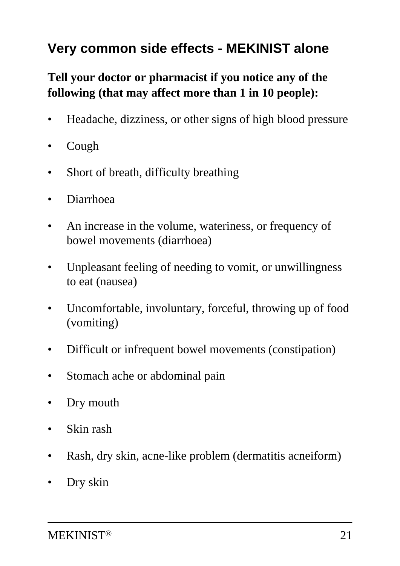## **Very common side effects - MEKINIST alone**

#### **Tell your doctor or pharmacist if you notice any of the following (that may affect more than 1 in 10 people):**

- Headache, dizziness, or other signs of high blood pressure
- Cough
- Short of breath, difficulty breathing
- Diarrhoea
- An increase in the volume, wateriness, or frequency of bowel movements (diarrhoea)
- Unpleasant feeling of needing to vomit, or unwillingness to eat (nausea)
- Uncomfortable, involuntary, forceful, throwing up of food (vomiting)
- Difficult or infrequent bowel movements (constipation)
- Stomach ache or abdominal pain
- Dry mouth
- Skin rash
- Rash, dry skin, acne-like problem (dermatitis acneiform)
- Dry skin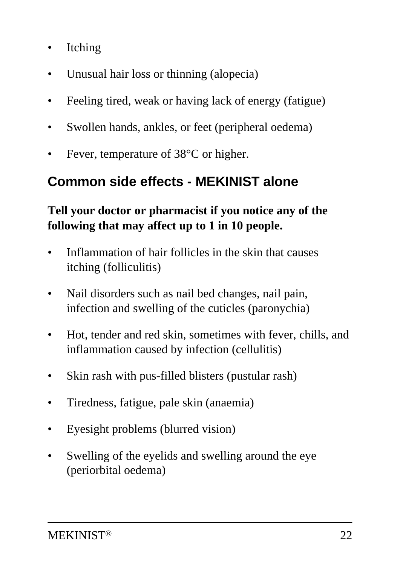- **Itching**
- Unusual hair loss or thinning (alopecia)
- Feeling tired, weak or having lack of energy (fatigue)
- Swollen hands, ankles, or feet (peripheral oedema)
- Fever, temperature of 38<sup>o</sup>C or higher.

### **Common side effects - MEKINIST alone**

#### **Tell your doctor or pharmacist if you notice any of the following that may affect up to 1 in 10 people.**

- Inflammation of hair follicles in the skin that causes itching (folliculitis)
- Nail disorders such as nail bed changes, nail pain, infection and swelling of the cuticles (paronychia)
- Hot, tender and red skin, sometimes with fever, chills, and inflammation caused by infection (cellulitis)
- Skin rash with pus-filled blisters (pustular rash)
- Tiredness, fatigue, pale skin (anaemia)
- Eyesight problems (blurred vision)
- Swelling of the eyelids and swelling around the eye (periorbital oedema)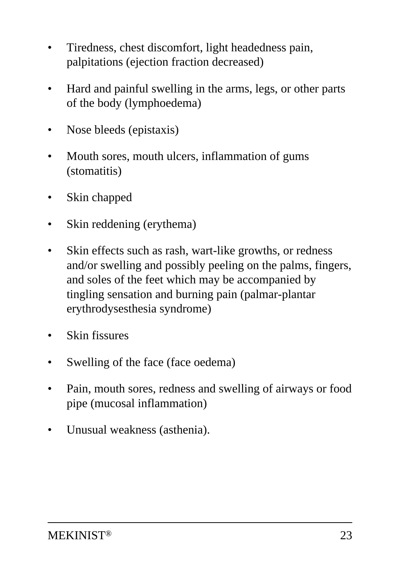- Tiredness, chest discomfort, light headedness pain, palpitations (ejection fraction decreased)
- Hard and painful swelling in the arms, legs, or other parts of the body (lymphoedema)
- Nose bleeds (epistaxis)
- Mouth sores, mouth ulcers, inflammation of gums (stomatitis)
- Skin chapped
- Skin reddening (erythema)
- Skin effects such as rash, wart-like growths, or redness and/or swelling and possibly peeling on the palms, fingers, and soles of the feet which may be accompanied by tingling sensation and burning pain (palmar-plantar erythrodysesthesia syndrome)
- **Skin fissures**
- Swelling of the face (face oedema)
- Pain, mouth sores, redness and swelling of airways or food pipe (mucosal inflammation)
- Unusual weakness (asthenia).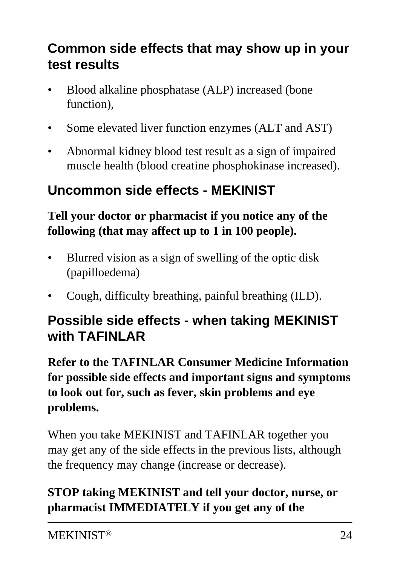# **Common side effects that may show up in your test results**

- Blood alkaline phosphatase (ALP) increased (bone function),
- Some elevated liver function enzymes (ALT and AST)
- Abnormal kidney blood test result as a sign of impaired muscle health (blood creatine phosphokinase increased).

# **Uncommon side effects - MEKINIST**

#### **Tell your doctor or pharmacist if you notice any of the following (that may affect up to 1 in 100 people).**

- Blurred vision as a sign of swelling of the optic disk (papilloedema)
- Cough, difficulty breathing, painful breathing (ILD).

### **Possible side effects - when taking MEKINIST with TAFINLAR**

**Refer to the TAFINLAR Consumer Medicine Information for possible side effects and important signs and symptoms to look out for, such as fever, skin problems and eye problems.**

When you take MEKINIST and TAFINLAR together you may get any of the side effects in the previous lists, although the frequency may change (increase or decrease).

#### **STOP taking MEKINIST and tell your doctor, nurse, or pharmacist IMMEDIATELY if you get any of the**

MEKINIST® 24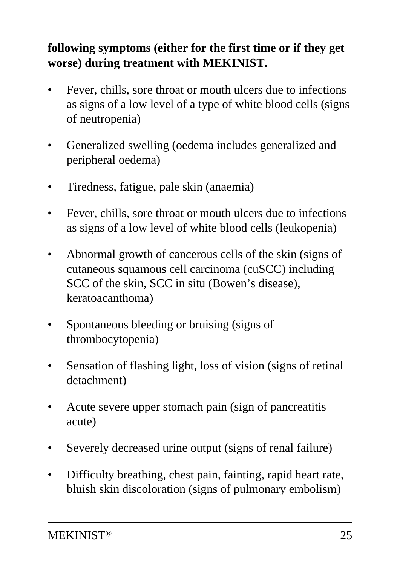#### **following symptoms (either for the first time or if they get worse) during treatment with MEKINIST.**

- Fever, chills, sore throat or mouth ulcers due to infections as signs of a low level of a type of white blood cells (signs of neutropenia)
- Generalized swelling (oedema includes generalized and peripheral oedema)
- Tiredness, fatigue, pale skin (anaemia)
- Fever, chills, sore throat or mouth ulcers due to infections as signs of a low level of white blood cells (leukopenia)
- Abnormal growth of cancerous cells of the skin (signs of cutaneous squamous cell carcinoma (cuSCC) including SCC of the skin, SCC in situ (Bowen's disease), keratoacanthoma)
- Spontaneous bleeding or bruising (signs of thrombocytopenia)
- Sensation of flashing light, loss of vision (signs of retinal detachment)
- Acute severe upper stomach pain (sign of pancreatitis acute)
- Severely decreased urine output (signs of renal failure)
- Difficulty breathing, chest pain, fainting, rapid heart rate, bluish skin discoloration (signs of pulmonary embolism)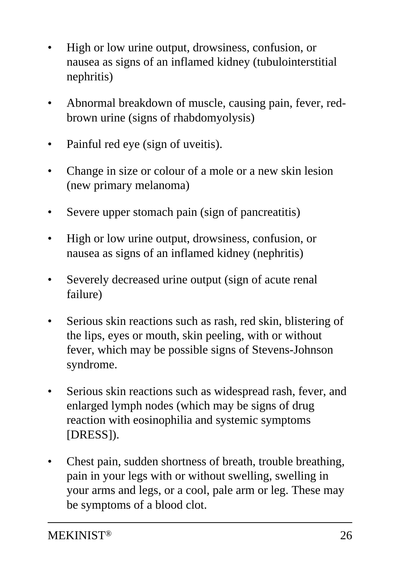- High or low urine output, drowsiness, confusion, or nausea as signs of an inflamed kidney (tubulointerstitial nephritis)
- Abnormal breakdown of muscle, causing pain, fever, redbrown urine (signs of rhabdomyolysis)
- Painful red eye (sign of uveitis).
- Change in size or colour of a mole or a new skin lesion (new primary melanoma)
- Severe upper stomach pain (sign of pancreatitis)
- High or low urine output, drowsiness, confusion, or nausea as signs of an inflamed kidney (nephritis)
- Severely decreased urine output (sign of acute renal failure)
- Serious skin reactions such as rash, red skin, blistering of the lips, eyes or mouth, skin peeling, with or without fever, which may be possible signs of Stevens-Johnson syndrome.
- Serious skin reactions such as widespread rash, fever, and enlarged lymph nodes (which may be signs of drug reaction with eosinophilia and systemic symptoms [DRESS]).
- Chest pain, sudden shortness of breath, trouble breathing, pain in your legs with or without swelling, swelling in your arms and legs, or a cool, pale arm or leg. These may be symptoms of a blood clot.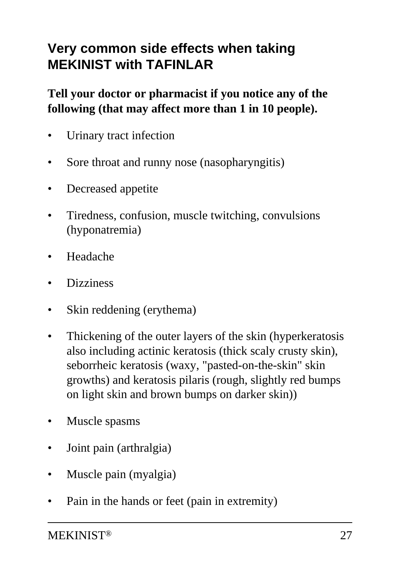## **Very common side effects when taking MEKINIST with TAFINLAR**

#### **Tell your doctor or pharmacist if you notice any of the following (that may affect more than 1 in 10 people).**

- Urinary tract infection
- Sore throat and runny nose (nasopharyngitis)
- Decreased appetite
- Tiredness, confusion, muscle twitching, convulsions (hyponatremia)
- Headache
- Dizziness
- Skin reddening (erythema)
- Thickening of the outer layers of the skin (hyperkeratosis also including actinic keratosis (thick scaly crusty skin), seborrheic keratosis (waxy, "pasted-on-the-skin" skin growths) and keratosis pilaris (rough, slightly red bumps on light skin and brown bumps on darker skin))
- Muscle spasms
- Joint pain (arthralgia)
- Muscle pain (myalgia)
- Pain in the hands or feet (pain in extremity)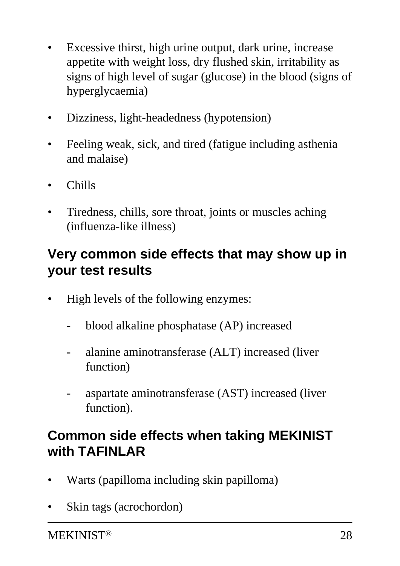- Excessive thirst, high urine output, dark urine, increase appetite with weight loss, dry flushed skin, irritability as signs of high level of sugar (glucose) in the blood (signs of hyperglycaemia)
- Dizziness, light-headedness (hypotension)
- Feeling weak, sick, and tired (fatigue including asthenia and malaise)
- Chills
- Tiredness, chills, sore throat, joints or muscles aching (influenza-like illness)

### **Very common side effects that may show up in your test results**

- High levels of the following enzymes:
	- blood alkaline phosphatase (AP) increased
	- alanine aminotransferase (ALT) increased (liver function)
	- aspartate aminotransferase (AST) increased (liver function).

## **Common side effects when taking MEKINIST with TAFINLAR**

- Warts (papilloma including skin papilloma)
- Skin tags (acrochordon)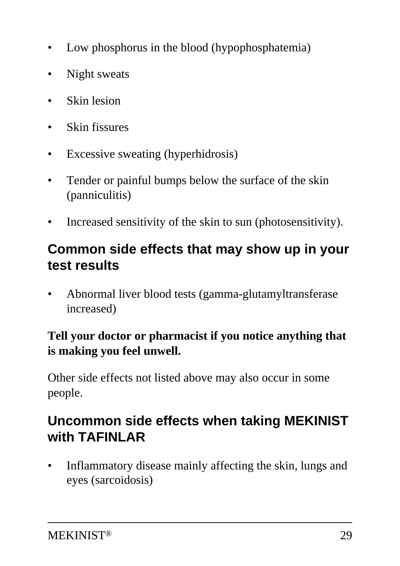- Low phosphorus in the blood (hypophosphatemia)
- Night sweats
- **Skin lesion**
- Skin fissures
- Excessive sweating (hyperhidrosis)
- Tender or painful bumps below the surface of the skin (panniculitis)
- Increased sensitivity of the skin to sun (photosensitivity).

### **Common side effects that may show up in your test results**

• Abnormal liver blood tests (gamma-glutamyltransferase increased)

#### **Tell your doctor or pharmacist if you notice anything that is making you feel unwell.**

Other side effects not listed above may also occur in some people.

### **Uncommon side effects when taking MEKINIST with TAFINLAR**

• Inflammatory disease mainly affecting the skin, lungs and eyes (sarcoidosis)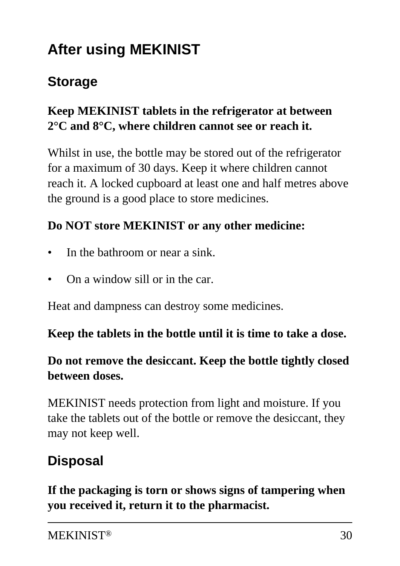# **After using MEKINIST**

### **Storage**

#### **Keep MEKINIST tablets in the refrigerator at between 2°C and 8°C, where children cannot see or reach it.**

Whilst in use, the bottle may be stored out of the refrigerator for a maximum of 30 days. Keep it where children cannot reach it. A locked cupboard at least one and half metres above the ground is a good place to store medicines.

#### **Do NOT store MEKINIST or any other medicine:**

- In the bathroom or near a sink.
- On a window sill or in the car.

Heat and dampness can destroy some medicines.

#### **Keep the tablets in the bottle until it is time to take a dose.**

#### **Do not remove the desiccant. Keep the bottle tightly closed between doses.**

MEKINIST needs protection from light and moisture. If you take the tablets out of the bottle or remove the desiccant, they may not keep well.

### **Disposal**

**If the packaging is torn or shows signs of tampering when you received it, return it to the pharmacist.**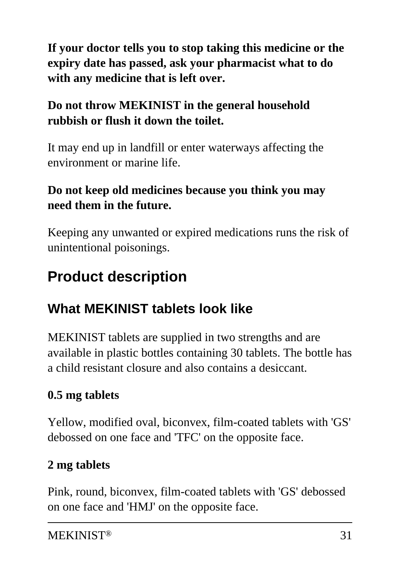**If your doctor tells you to stop taking this medicine or the expiry date has passed, ask your pharmacist what to do with any medicine that is left over.**

### **Do not throw MEKINIST in the general household rubbish or flush it down the toilet.**

It may end up in landfill or enter waterways affecting the environment or marine life.

#### **Do not keep old medicines because you think you may need them in the future.**

Keeping any unwanted or expired medications runs the risk of unintentional poisonings.

# **Product description**

# **What MEKINIST tablets look like**

MEKINIST tablets are supplied in two strengths and are available in plastic bottles containing 30 tablets. The bottle has a child resistant closure and also contains a desiccant.

### **0.5 mg tablets**

Yellow, modified oval, biconvex, film-coated tablets with 'GS' debossed on one face and 'TFC' on the opposite face.

### **2 mg tablets**

Pink, round, biconvex, film-coated tablets with 'GS' debossed on one face and 'HMJ' on the opposite face.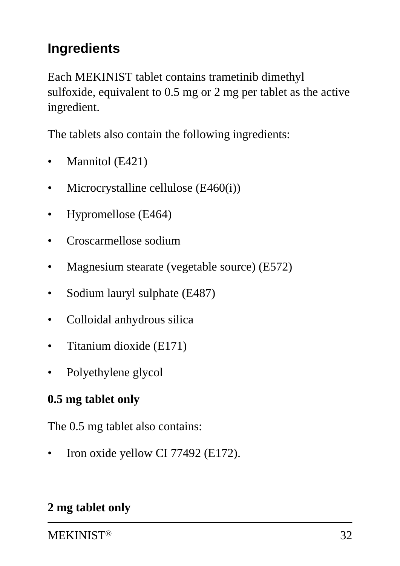# **Ingredients**

Each MEKINIST tablet contains trametinib dimethyl sulfoxide, equivalent to 0.5 mg or 2 mg per tablet as the active ingredient.

The tablets also contain the following ingredients:

- Mannitol (E421)
- Microcrystalline cellulose (E460(i))
- Hypromellose (E464)
- Croscarmellose sodium
- Magnesium stearate (vegetable source) (E572)
- Sodium lauryl sulphate (E487)
- Colloidal anhydrous silica
- Titanium dioxide (E171)
- Polyethylene glycol

#### **0.5 mg tablet only**

The 0.5 mg tablet also contains:

Iron oxide yellow CI 77492 (E172).

#### **2 mg tablet only**

MEKINIST® 32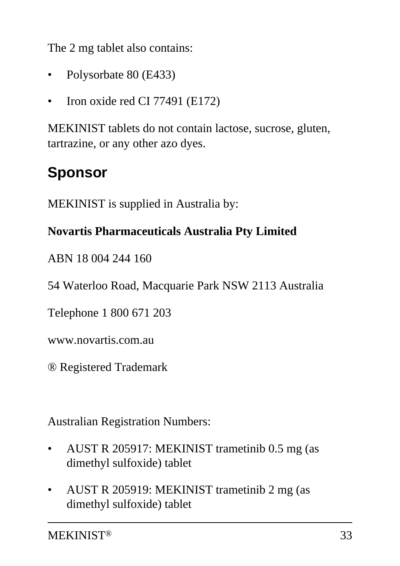The 2 mg tablet also contains:

- Polysorbate 80 (E433)
- Iron oxide red CI 77491 (E172)

MEKINIST tablets do not contain lactose, sucrose, gluten, tartrazine, or any other azo dyes.

# **Sponsor**

MEKINIST is supplied in Australia by:

#### **Novartis Pharmaceuticals Australia Pty Limited**

ABN 18 004 244 160

54 Waterloo Road, Macquarie Park NSW 2113 Australia

Telephone 1 800 671 203

www.novartis.com.au

® Registered Trademark

Australian Registration Numbers:

- AUST R 205917: MEKINIST trametinib 0.5 mg (as dimethyl sulfoxide) tablet
- AUST R 205919: MEKINIST trametinib 2 mg (as dimethyl sulfoxide) tablet